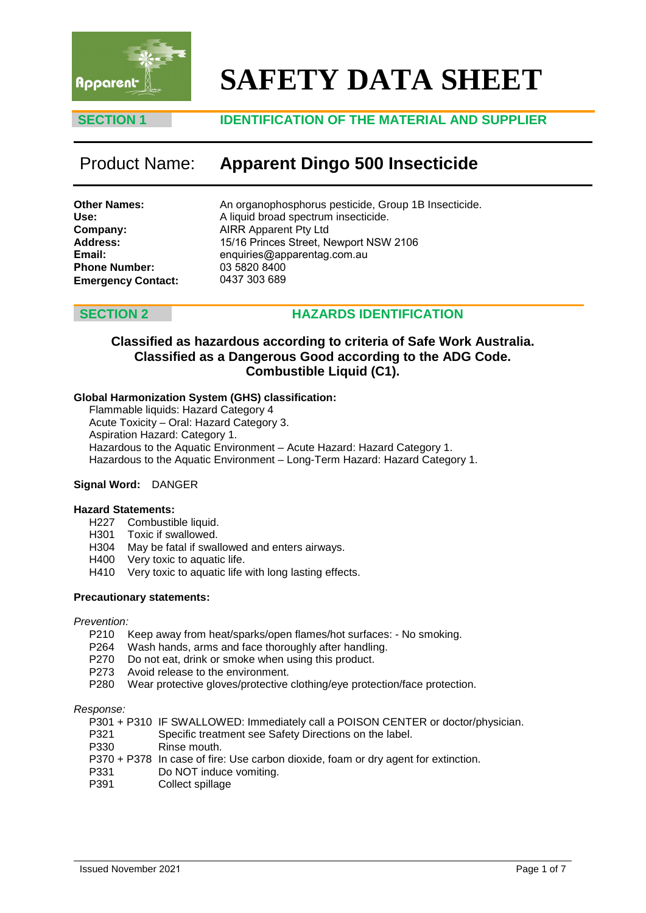

# **SAFETY DATA SHEET**

# **SECTION 1 IDENTIFICATION OF THE MATERIAL AND SUPPLIER**

# Product Name: **Apparent Dingo 500 Insecticide**

| Other Names:              |
|---------------------------|
| Use:                      |
| Company:                  |
| <b>Address:</b>           |
| Email:                    |
| <b>Phone Number:</b>      |
| <b>Emergency Contact:</b> |

An organophosphorus pesticide, Group 1B Insecticide. A liquid broad spectrum insecticide. AIRR Apparent Pty Ltd 15/16 Princes Street, Newport NSW 2106 enquiries@apparentag.com.au 03 5820 8400 0437 303 689

### **SECTION 2 HAZARDS IDENTIFICATION**

# **Classified as hazardous according to criteria of Safe Work Australia. Classified as a Dangerous Good according to the ADG Code. Combustible Liquid (C1).**

### **Global Harmonization System (GHS) classification:**

Flammable liquids: Hazard Category 4 Acute Toxicity – Oral: Hazard Category 3. Aspiration Hazard: Category 1. Hazardous to the Aquatic Environment – Acute Hazard: Hazard Category 1. Hazardous to the Aquatic Environment – Long-Term Hazard: Hazard Category 1.

### **Signal Word:** DANGER

### **Hazard Statements:**

- H227 Combustible liquid.
- H301 Toxic if swallowed.
- H304 May be fatal if swallowed and enters airways.
- H400 Very toxic to aquatic life.
- H410 Very toxic to aquatic life with long lasting effects.

### **Precautionary statements:**

*Prevention:*

- P210 Keep away from heat/sparks/open flames/hot surfaces: No smoking.
- P264 Wash hands, arms and face thoroughly after handling.
- P270 Do not eat, drink or smoke when using this product.
- P273 Avoid release to the environment.
- P280 Wear protective gloves/protective clothing/eye protection/face protection.

### *Response:*

- P301 + P310 IF SWALLOWED: Immediately call a POISON CENTER or doctor/physician.
- P321 Specific treatment see Safety Directions on the label.<br>P330 Rinse mouth.
- Rinse mouth.
- P370 + P378 In case of fire: Use carbon dioxide, foam or dry agent for extinction.
- P331 Do NOT induce vomiting.<br>P391 Collect spillage
- Collect spillage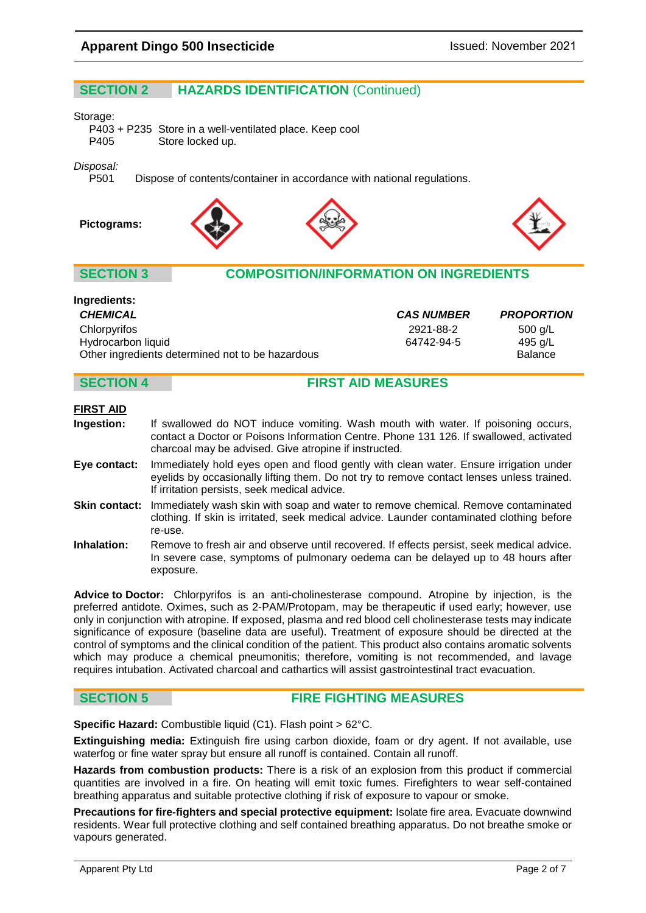# **SECTION 2 HAZARDS IDENTIFICATION** (Continued)

#### Storage:

P403 + P235 Store in a well-ventilated place. Keep cool Store locked up.

### *Disposal:*

P501 Dispose of contents/container in accordance with national regulations.









### **SECTION 3 COMPOSITION/INFORMATION ON INGREDIENTS**

| Ingredients:                                     |                   |                   |
|--------------------------------------------------|-------------------|-------------------|
| <b>CHEMICAL</b>                                  | <b>CAS NUMBER</b> | <b>PROPORTION</b> |
| Chlorpyrifos                                     | 2921-88-2         | 500 g/L           |
| Hydrocarbon liquid                               | 64742-94-5        | 495 a/L           |
| Other ingredients determined not to be hazardous |                   | <b>Balance</b>    |

# **SECTION 4 FIRST AID MEASURES**

### **FIRST AID**

- **Ingestion:** If swallowed do NOT induce vomiting. Wash mouth with water. If poisoning occurs, contact a Doctor or Poisons Information Centre. Phone 131 126. If swallowed, activated charcoal may be advised. Give atropine if instructed.
- **Eye contact:** Immediately hold eyes open and flood gently with clean water. Ensure irrigation under eyelids by occasionally lifting them. Do not try to remove contact lenses unless trained. If irritation persists, seek medical advice.
- **Skin contact:** Immediately wash skin with soap and water to remove chemical. Remove contaminated clothing. If skin is irritated, seek medical advice. Launder contaminated clothing before re-use.
- **Inhalation:** Remove to fresh air and observe until recovered. If effects persist, seek medical advice. In severe case, symptoms of pulmonary oedema can be delayed up to 48 hours after exposure.

**Advice to Doctor:** Chlorpyrifos is an anti-cholinesterase compound. Atropine by injection, is the preferred antidote. Oximes, such as 2-PAM/Protopam, may be therapeutic if used early; however, use only in conjunction with atropine. If exposed, plasma and red blood cell cholinesterase tests may indicate significance of exposure (baseline data are useful). Treatment of exposure should be directed at the control of symptoms and the clinical condition of the patient. This product also contains aromatic solvents which may produce a chemical pneumonitis; therefore, vomiting is not recommended, and lavage requires intubation. Activated charcoal and cathartics will assist gastrointestinal tract evacuation.

### **SECTION 5 FIRE FIGHTING MEASURES**

**Specific Hazard:** Combustible liquid (C1). Flash point > 62°C.

**Extinguishing media:** Extinguish fire using carbon dioxide, foam or dry agent. If not available, use waterfog or fine water spray but ensure all runoff is contained. Contain all runoff.

**Hazards from combustion products:** There is a risk of an explosion from this product if commercial quantities are involved in a fire. On heating will emit toxic fumes. Firefighters to wear self-contained breathing apparatus and suitable protective clothing if risk of exposure to vapour or smoke.

**Precautions for fire-fighters and special protective equipment:** Isolate fire area. Evacuate downwind residents. Wear full protective clothing and self contained breathing apparatus. Do not breathe smoke or vapours generated.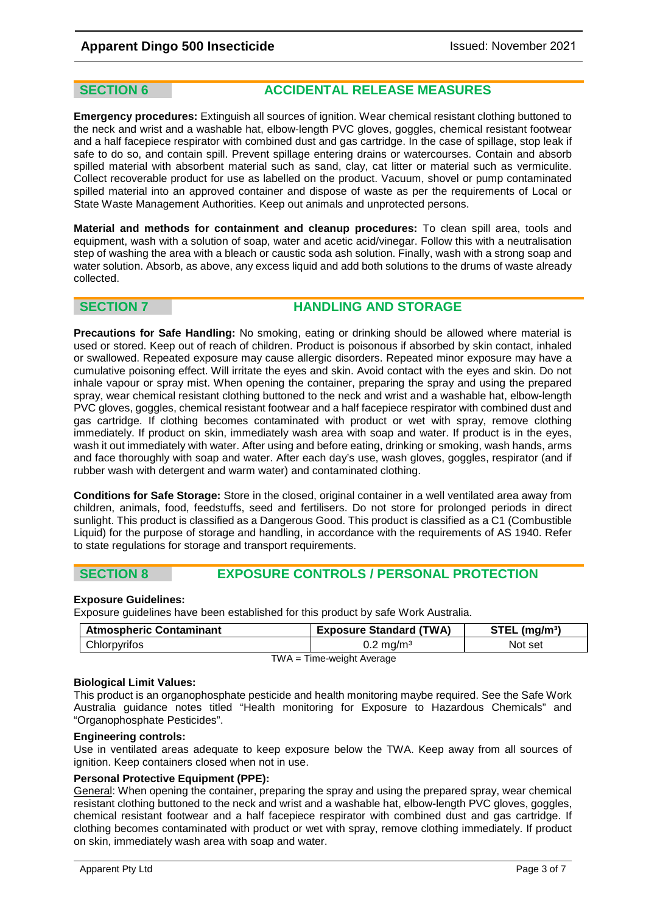# **SECTION 6 ACCIDENTAL RELEASE MEASURES**

**Emergency procedures:** Extinguish all sources of ignition. Wear chemical resistant clothing buttoned to the neck and wrist and a washable hat, elbow-length PVC gloves, goggles, chemical resistant footwear and a half facepiece respirator with combined dust and gas cartridge. In the case of spillage, stop leak if safe to do so, and contain spill. Prevent spillage entering drains or watercourses. Contain and absorb spilled material with absorbent material such as sand, clay, cat litter or material such as vermiculite. Collect recoverable product for use as labelled on the product. Vacuum, shovel or pump contaminated spilled material into an approved container and dispose of waste as per the requirements of Local or State Waste Management Authorities. Keep out animals and unprotected persons.

**Material and methods for containment and cleanup procedures:** To clean spill area, tools and equipment, wash with a solution of soap, water and acetic acid/vinegar. Follow this with a neutralisation step of washing the area with a bleach or caustic soda ash solution. Finally, wash with a strong soap and water solution. Absorb, as above, any excess liquid and add both solutions to the drums of waste already collected.

# **SECTION 7 HANDLING AND STORAGE**

**Precautions for Safe Handling:** No smoking, eating or drinking should be allowed where material is used or stored. Keep out of reach of children. Product is poisonous if absorbed by skin contact, inhaled or swallowed. Repeated exposure may cause allergic disorders. Repeated minor exposure may have a cumulative poisoning effect. Will irritate the eyes and skin. Avoid contact with the eyes and skin. Do not inhale vapour or spray mist. When opening the container, preparing the spray and using the prepared spray, wear chemical resistant clothing buttoned to the neck and wrist and a washable hat, elbow-length PVC gloves, goggles, chemical resistant footwear and a half facepiece respirator with combined dust and gas cartridge. If clothing becomes contaminated with product or wet with spray, remove clothing immediately. If product on skin, immediately wash area with soap and water. If product is in the eyes, wash it out immediately with water. After using and before eating, drinking or smoking, wash hands, arms and face thoroughly with soap and water. After each day's use, wash gloves, goggles, respirator (and if rubber wash with detergent and warm water) and contaminated clothing.

**Conditions for Safe Storage:** Store in the closed, original container in a well ventilated area away from children, animals, food, feedstuffs, seed and fertilisers. Do not store for prolonged periods in direct sunlight. This product is classified as a Dangerous Good. This product is classified as a C1 (Combustible Liquid) for the purpose of storage and handling, in accordance with the requirements of AS 1940. Refer to state regulations for storage and transport requirements.

### **SECTION 8 EXPOSURE CONTROLS / PERSONAL PROTECTION**

### **Exposure Guidelines:**

Exposure guidelines have been established for this product by safe Work Australia.

| <b>Atmospheric Contaminant</b> | <b>Exposure Standard (TWA)</b> | $STEL$ (mg/m <sup>3</sup> ) |
|--------------------------------|--------------------------------|-----------------------------|
| Chlorpyrifos                   | $0.2 \,\mathrm{mq/m^3}$        | Not set                     |
| $TWA = Time-weight Average$    |                                |                             |

### **Biological Limit Values:**

This product is an organophosphate pesticide and health monitoring maybe required. See the Safe Work Australia guidance notes titled "Health monitoring for Exposure to Hazardous Chemicals" and "Organophosphate Pesticides".

### **Engineering controls:**

Use in ventilated areas adequate to keep exposure below the TWA. Keep away from all sources of ignition. Keep containers closed when not in use.

### **Personal Protective Equipment (PPE):**

General: When opening the container, preparing the spray and using the prepared spray, wear chemical resistant clothing buttoned to the neck and wrist and a washable hat, elbow-length PVC gloves, goggles, chemical resistant footwear and a half facepiece respirator with combined dust and gas cartridge. If clothing becomes contaminated with product or wet with spray, remove clothing immediately. If product on skin, immediately wash area with soap and water.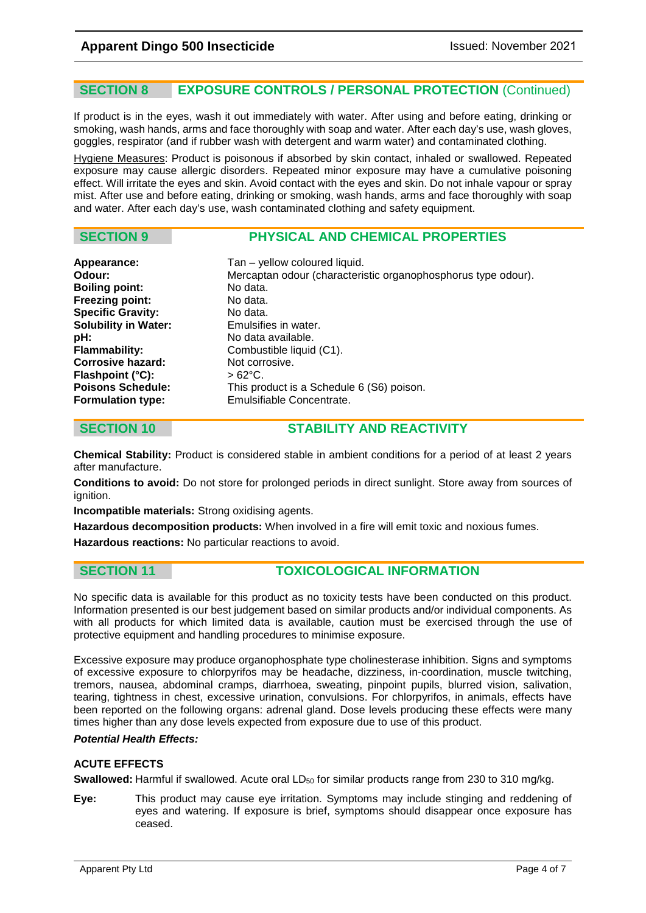# **SECTION 8 EXPOSURE CONTROLS / PERSONAL PROTECTION** (Continued)

If product is in the eyes, wash it out immediately with water. After using and before eating, drinking or smoking, wash hands, arms and face thoroughly with soap and water. After each day's use, wash gloves, goggles, respirator (and if rubber wash with detergent and warm water) and contaminated clothing.

Hygiene Measures: Product is poisonous if absorbed by skin contact, inhaled or swallowed. Repeated exposure may cause allergic disorders. Repeated minor exposure may have a cumulative poisoning effect. Will irritate the eyes and skin. Avoid contact with the eyes and skin. Do not inhale vapour or spray mist. After use and before eating, drinking or smoking, wash hands, arms and face thoroughly with soap and water. After each day's use, wash contaminated clothing and safety equipment.

# **SECTION 9 PHYSICAL AND CHEMICAL PROPERTIES**

| Tan - yellow coloured liquid.                                 |
|---------------------------------------------------------------|
|                                                               |
| Mercaptan odour (characteristic organophosphorus type odour). |
| No data.                                                      |
| No data.                                                      |
| No data.                                                      |
| Emulsifies in water.                                          |
| No data available.                                            |
| Combustible liquid (C1).                                      |
| Not corrosive.                                                |
| $>62^{\circ}$ C.                                              |
| This product is a Schedule 6 (S6) poison.                     |
| Emulsifiable Concentrate.                                     |
|                                                               |

# **SECTION 10 STABILITY AND REACTIVITY**

**Chemical Stability:** Product is considered stable in ambient conditions for a period of at least 2 years after manufacture.

**Conditions to avoid:** Do not store for prolonged periods in direct sunlight. Store away from sources of ignition.

**Incompatible materials:** Strong oxidising agents.

**Hazardous decomposition products:** When involved in a fire will emit toxic and noxious fumes.

**Hazardous reactions:** No particular reactions to avoid.

**SECTION 11 TOXICOLOGICAL INFORMATION**

No specific data is available for this product as no toxicity tests have been conducted on this product. Information presented is our best judgement based on similar products and/or individual components. As with all products for which limited data is available, caution must be exercised through the use of protective equipment and handling procedures to minimise exposure.

Excessive exposure may produce organophosphate type cholinesterase inhibition. Signs and symptoms of excessive exposure to chlorpyrifos may be headache, dizziness, in-coordination, muscle twitching, tremors, nausea, abdominal cramps, diarrhoea, sweating, pinpoint pupils, blurred vision, salivation, tearing, tightness in chest, excessive urination, convulsions. For chlorpyrifos, in animals, effects have been reported on the following organs: adrenal gland. Dose levels producing these effects were many times higher than any dose levels expected from exposure due to use of this product.

### *Potential Health Effects:*

### **ACUTE EFFECTS**

Swallowed: Harmful if swallowed. Acute oral LD<sub>50</sub> for similar products range from 230 to 310 ma/kg.

**Eye:** This product may cause eye irritation. Symptoms may include stinging and reddening of eyes and watering. If exposure is brief, symptoms should disappear once exposure has ceased.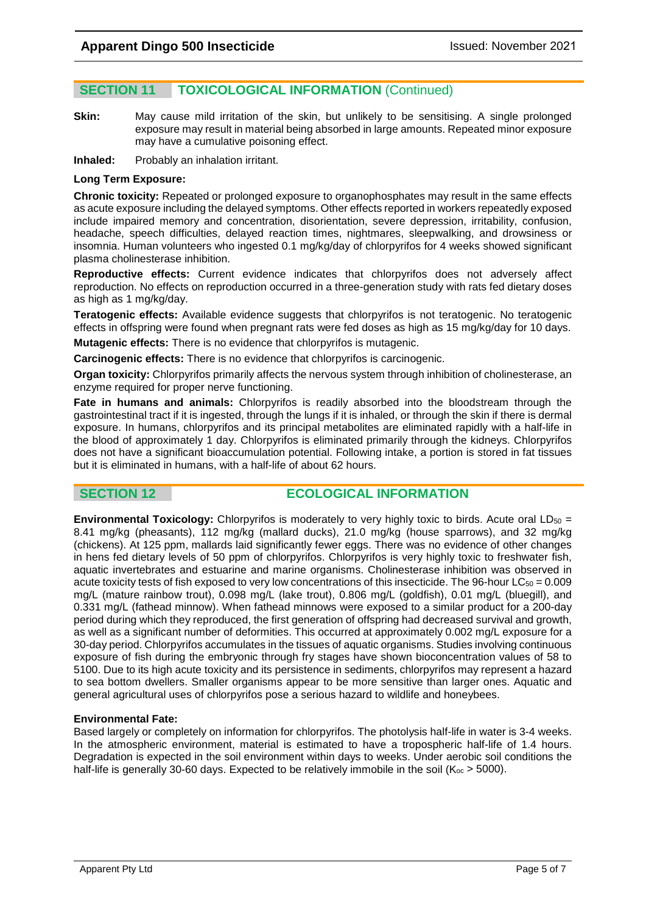# **SECTION 11 TOXICOLOGICAL INFORMATION** (Continued)

**Skin:** May cause mild irritation of the skin, but unlikely to be sensitising. A single prolonged exposure may result in material being absorbed in large amounts. Repeated minor exposure may have a cumulative poisoning effect.

**Inhaled:** Probably an inhalation irritant.

### **Long Term Exposure:**

**Chronic toxicity:** Repeated or prolonged exposure to organophosphates may result in the same effects as acute exposure including the delayed symptoms. Other effects reported in workers repeatedly exposed include impaired memory and concentration, disorientation, severe depression, irritability, confusion, headache, speech difficulties, delayed reaction times, nightmares, sleepwalking, and drowsiness or insomnia. Human volunteers who ingested 0.1 mg/kg/day of chlorpyrifos for 4 weeks showed significant plasma cholinesterase inhibition.

**Reproductive effects:** Current evidence indicates that chlorpyrifos does not adversely affect reproduction. No effects on reproduction occurred in a three-generation study with rats fed dietary doses as high as 1 mg/kg/day.

**Teratogenic effects:** Available evidence suggests that chlorpyrifos is not teratogenic. No teratogenic effects in offspring were found when pregnant rats were fed doses as high as 15 mg/kg/day for 10 days.

**Mutagenic effects:** There is no evidence that chlorpyrifos is mutagenic.

**Carcinogenic effects:** There is no evidence that chlorpyrifos is carcinogenic.

**Organ toxicity:** Chlorpyrifos primarily affects the nervous system through inhibition of cholinesterase, an enzyme required for proper nerve functioning.

**Fate in humans and animals:** Chlorpyrifos is readily absorbed into the bloodstream through the gastrointestinal tract if it is ingested, through the lungs if it is inhaled, or through the skin if there is dermal exposure. In humans, chlorpyrifos and its principal metabolites are eliminated rapidly with a half-life in the blood of approximately 1 day. Chlorpyrifos is eliminated primarily through the kidneys. Chlorpyrifos does not have a significant bioaccumulation potential. Following intake, a portion is stored in fat tissues but it is eliminated in humans, with a half-life of about 62 hours.

# **SECTION 12 ECOLOGICAL INFORMATION**

**Environmental Toxicology:** Chlorpyrifos is moderately to very highly toxic to birds. Acute oral LD<sub>50</sub> = 8.41 mg/kg (pheasants), 112 mg/kg (mallard ducks), 21.0 mg/kg (house sparrows), and 32 mg/kg (chickens). At 125 ppm, mallards laid significantly fewer eggs. There was no evidence of other changes in hens fed dietary levels of 50 ppm of chlorpyrifos. Chlorpyrifos is very highly toxic to freshwater fish, aquatic invertebrates and estuarine and marine organisms. Cholinesterase inhibition was observed in acute toxicity tests of fish exposed to very low concentrations of this insecticide. The 96-hour  $LC_{50} = 0.009$ mg/L (mature rainbow trout), 0.098 mg/L (lake trout), 0.806 mg/L (goldfish), 0.01 mg/L (bluegill), and 0.331 mg/L (fathead minnow). When fathead minnows were exposed to a similar product for a 200-day period during which they reproduced, the first generation of offspring had decreased survival and growth, as well as a significant number of deformities. This occurred at approximately 0.002 mg/L exposure for a 30-day period. Chlorpyrifos accumulates in the tissues of aquatic organisms. Studies involving continuous exposure of fish during the embryonic through fry stages have shown bioconcentration values of 58 to 5100. Due to its high acute toxicity and its persistence in sediments, chlorpyrifos may represent a hazard to sea bottom dwellers. Smaller organisms appear to be more sensitive than larger ones. Aquatic and general agricultural uses of chlorpyrifos pose a serious hazard to wildlife and honeybees.

### **Environmental Fate:**

Based largely or completely on information for chlorpyrifos. The photolysis half-life in water is 3-4 weeks. In the atmospheric environment, material is estimated to have a tropospheric half-life of 1.4 hours. Degradation is expected in the soil environment within days to weeks. Under aerobic soil conditions the half-life is generally 30-60 days. Expected to be relatively immobile in the soil ( $K_{\text{oc}} > 5000$ ).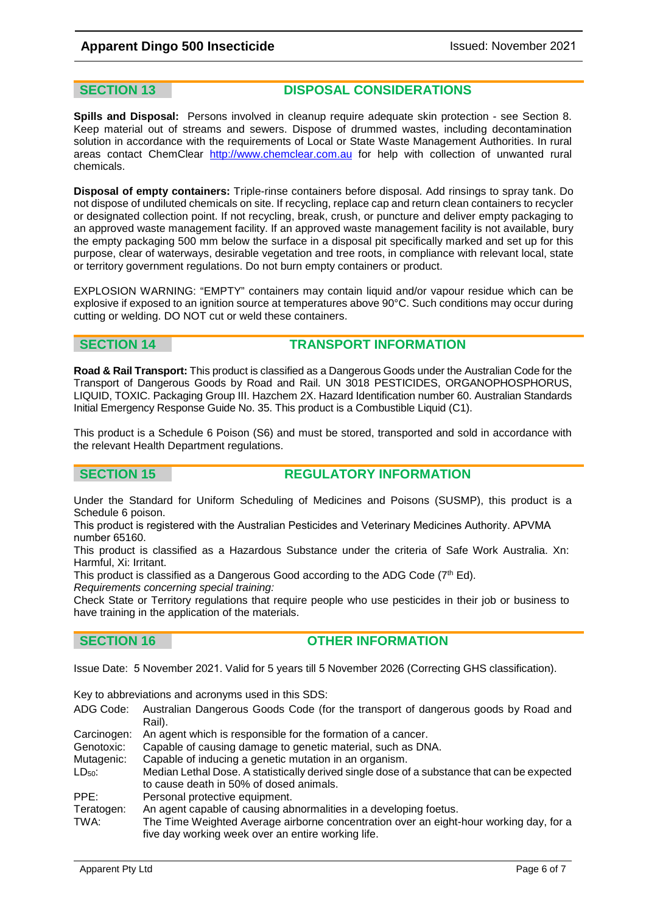**SECTION 13 DISPOSAL CONSIDERATIONS**

**Spills and Disposal:** Persons involved in cleanup require adequate skin protection - see Section 8. Keep material out of streams and sewers. Dispose of drummed wastes, including decontamination solution in accordance with the requirements of Local or State Waste Management Authorities. In rural areas contact ChemClear [http://www.chemclear.com.au](http://www.chemclear.com.au/) for help with collection of unwanted rural chemicals.

**Disposal of empty containers:** Triple-rinse containers before disposal. Add rinsings to spray tank. Do not dispose of undiluted chemicals on site. If recycling, replace cap and return clean containers to recycler or designated collection point. If not recycling, break, crush, or puncture and deliver empty packaging to an approved waste management facility. If an approved waste management facility is not available, bury the empty packaging 500 mm below the surface in a disposal pit specifically marked and set up for this purpose, clear of waterways, desirable vegetation and tree roots, in compliance with relevant local, state or territory government regulations. Do not burn empty containers or product.

EXPLOSION WARNING: "EMPTY" containers may contain liquid and/or vapour residue which can be explosive if exposed to an ignition source at temperatures above 90°C. Such conditions may occur during cutting or welding. DO NOT cut or weld these containers.

# **SECTION 14 TRANSPORT INFORMATION**

**Road & Rail Transport:** This product is classified as a Dangerous Goods under the Australian Code for the Transport of Dangerous Goods by Road and Rail. UN 3018 PESTICIDES, ORGANOPHOSPHORUS, LIQUID, TOXIC. Packaging Group III. Hazchem 2X. Hazard Identification number 60. Australian Standards Initial Emergency Response Guide No. 35. This product is a Combustible Liquid (C1).

This product is a Schedule 6 Poison (S6) and must be stored, transported and sold in accordance with the relevant Health Department regulations.

### **SECTION 15 REGULATORY INFORMATION**

Under the Standard for Uniform Scheduling of Medicines and Poisons (SUSMP), this product is a Schedule 6 poison.

This product is registered with the Australian Pesticides and Veterinary Medicines Authority. APVMA number 65160.

This product is classified as a Hazardous Substance under the criteria of Safe Work Australia. Xn: Harmful, Xi: Irritant.

This product is classified as a Dangerous Good according to the ADG Code (7<sup>th</sup> Ed).

*Requirements concerning special training:* 

Check State or Territory regulations that require people who use pesticides in their job or business to have training in the application of the materials.

# **SECTION 16 OTHER INFORMATION**

Issue Date: 5 November 2021. Valid for 5 years till 5 November 2026 (Correcting GHS classification).

Key to abbreviations and acronyms used in this SDS:

- ADG Code: Australian Dangerous Goods Code (for the transport of dangerous goods by Road and Rail).
- Carcinogen: An agent which is responsible for the formation of a cancer.<br>Genotoxic: Capable of causing damage to genetic material, such as DN
- Capable of causing damage to genetic material, such as DNA.
- Mutagenic: Capable of inducing a genetic mutation in an organism.
- LD<sub>50</sub>: Median Lethal Dose. A statistically derived single dose of a substance that can be expected to cause death in 50% of dosed animals.
- PPE: Personal protective equipment.

Teratogen: An agent capable of causing abnormalities in a developing foetus.

TWA: The Time Weighted Average airborne concentration over an eight-hour working day, for a five day working week over an entire working life.